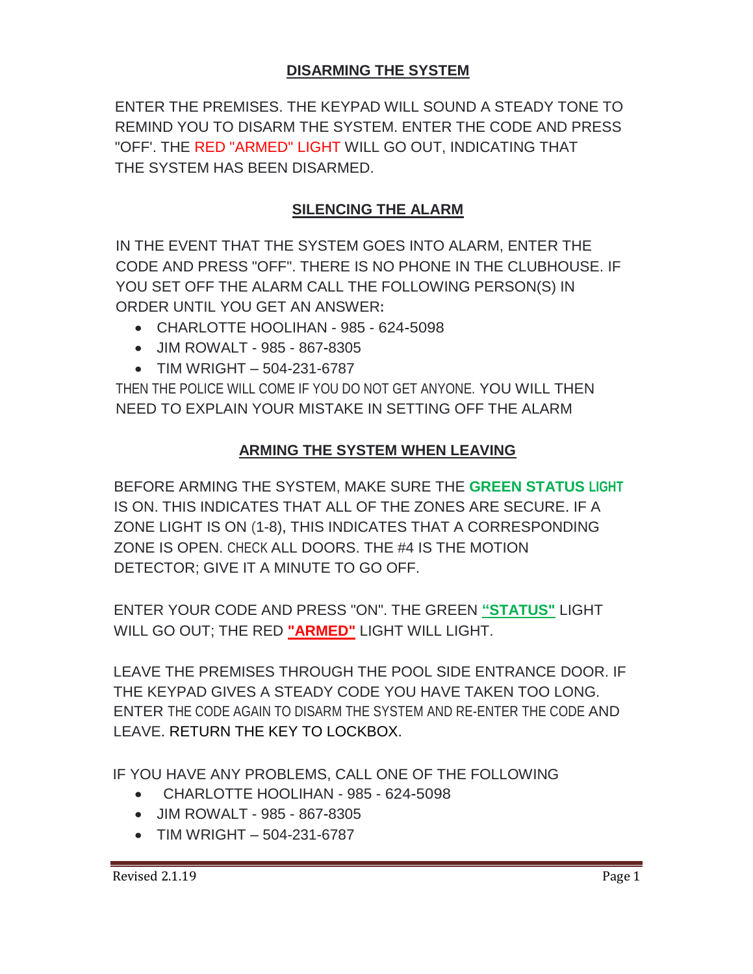## **DISARMING THE SYSTEM**

ENTER THE PREMISES. THE KEYPAD WILL SOUND A STEADY TONE TO REMIND YOU TO DISARM THE SYSTEM. ENTER THE CODE AND PRESS "OFF'. THE RED "ARMED" LIGHT WILL GO OUT, INDICATING THAT THE SYSTEM HAS BEEN DISARMED.

### **SILENCING THE ALARM**

IN THE EVENT THAT THE SYSTEM GOES INTO ALARM, ENTER THE CODE AND PRESS "OFF". THERE IS NO PHONE IN THE CLUBHOUSE. IF YOU SET OFF THE ALARM CALL THE FOLLOWING PERSON(S) IN ORDER UNTIL YOU GET AN ANSWER**:**

- CHARLOTTE HOOLIHAN 985 624-5098
- JIM ROWALT 985 867-8305
- $\bullet$  TIM WRIGHT 504-231-6787

THEN THE POLICE WILL COME IF YOU DO NOT GET ANYONE. YOU WILL THEN NEED TO EXPLAIN YOUR MISTAKE IN SETTING OFF THE ALARM

#### **ARMING THE SYSTEM WHEN LEAVING**

BEFORE ARMING THE SYSTEM, MAKE SURE THE **GREEN STATUS LIGHT** IS ON. THIS INDICATES THAT ALL OF THE ZONES ARE SECURE. IF A ZONE LIGHT IS ON (1-8), THIS INDICATES THAT A CORRESPONDING ZONE IS OPEN. CHECK ALL DOORS. THE #4 IS THE MOTION DETECTOR; GIVE IT A MINUTE TO GO OFF.

ENTER YOUR CODE AND PRESS "ON". THE GREEN **"STATUS"** LIGHT WILL GO OUT; THE RED **"ARMED"** LIGHT WILL LIGHT.

LEAVE THE PREMISES THROUGH THE POOL SIDE ENTRANCE DOOR. IF THE KEYPAD GIVES A STEADY CODE YOU HAVE TAKEN TOO LONG. ENTER THE CODE AGAIN TO DISARM THE SYSTEM AND RE-ENTER THE CODE AND LEAVE. RETURN THE KEY TO LOCKBOX.

IF YOU HAVE ANY PROBLEMS, CALL ONE OF THE FOLLOWING

- CHARLOTTE HOOLIHAN 985 624-5098
- JIM ROWALT 985 867-8305
- $\bullet$  TIM WRIGHT 504-231-6787